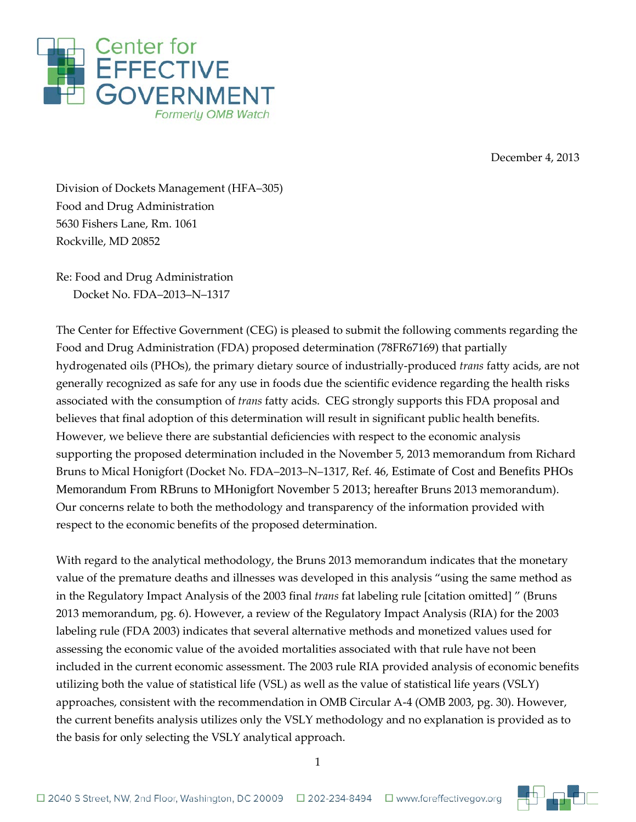

December 4, 2013

Division of Dockets Management (HFA–305) Food and Drug Administration 5630 Fishers Lane, Rm. 1061 Rockville, MD 20852

Re: Food and Drug Administration Docket No. FDA–2013–N–1317

The Center for Effective Government (CEG) is pleased to submit the following comments regarding the Food and Drug Administration (FDA) proposed determination (78FR67169) that partially hydrogenated oils (PHOs), the primary dietary source of industrially-produced *trans* fatty acids, are not generally recognized as safe for any use in foods due the scientific evidence regarding the health risks associated with the consumption of *trans* fatty acids. CEG strongly supports this FDA proposal and believes that final adoption of this determination will result in significant public health benefits. However, we believe there are substantial deficiencies with respect to the economic analysis supporting the proposed determination included in the November 5, 2013 memorandum from Richard Bruns to Mical Honigfort (Docket No. FDA–2013–N–1317, Ref. 46, Estimate of Cost and Benefits PHOs Memorandum From RBruns to MHonigfort November 5 2013; hereafter Bruns 2013 memorandum). Our concerns relate to both the methodology and transparency of the information provided with respect to the economic benefits of the proposed determination.

With regard to the analytical methodology, the Bruns 2013 memorandum indicates that the monetary value of the premature deaths and illnesses was developed in this analysis "using the same method as in the Regulatory Impact Analysis of the 2003 final *trans* fat labeling rule [citation omitted] " (Bruns 2013 memorandum, pg. 6). However, a review of the Regulatory Impact Analysis (RIA) for the 2003 labeling rule (FDA 2003) indicates that several alternative methods and monetized values used for assessing the economic value of the avoided mortalities associated with that rule have not been included in the current economic assessment. The 2003 rule RIA provided analysis of economic benefits utilizing both the value of statistical life (VSL) as well as the value of statistical life years (VSLY) approaches, consistent with the recommendation in OMB Circular A-4 (OMB 2003, pg. 30). However, the current benefits analysis utilizes only the VSLY methodology and no explanation is provided as to the basis for only selecting the VSLY analytical approach.

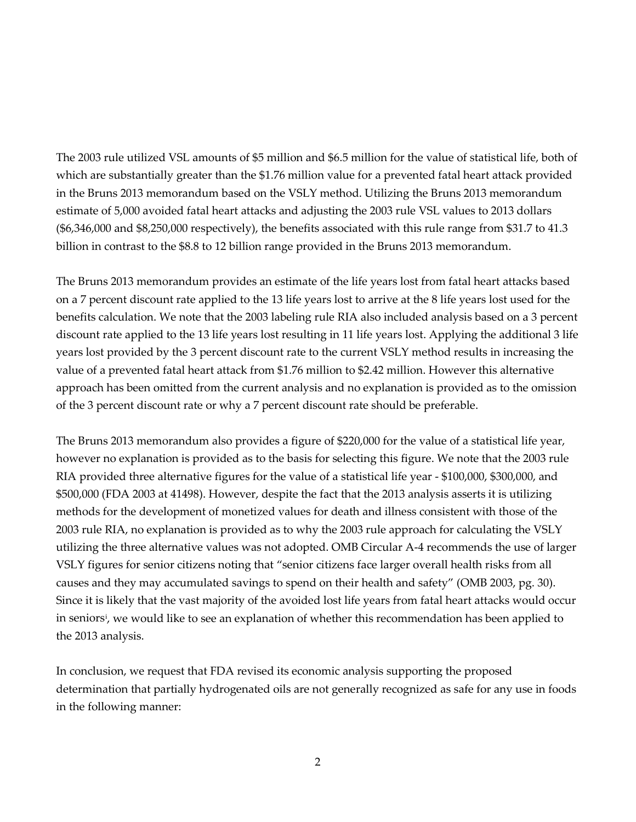The 2003 rule utilized VSL amounts of \$5 million and \$6.5 million for the value of statistical life, both of which are substantially greater than the \$1.76 million value for a prevented fatal heart attack provided in the Bruns 2013 memorandum based on the VSLY method. Utilizing the Bruns 2013 memorandum estimate of 5,000 avoided fatal heart attacks and adjusting the 2003 rule VSL values to 2013 dollars (\$6,346,000 and \$8,250,000 respectively), the benefits associated with this rule range from \$31.7 to 41.3 billion in contrast to the \$8.8 to 12 billion range provided in the Bruns 2013 memorandum.

The Bruns 2013 memorandum provides an estimate of the life years lost from fatal heart attacks based on a 7 percent discount rate applied to the 13 life years lost to arrive at the 8 life years lost used for the benefits calculation. We note that the 2003 labeling rule RIA also included analysis based on a 3 percent discount rate applied to the 13 life years lost resulting in 11 life years lost. Applying the additional 3 life years lost provided by the 3 percent discount rate to the current VSLY method results in increasing the value of a prevented fatal heart attack from \$1.76 million to \$2.42 million. However this alternative approach has been omitted from the current analysis and no explanation is provided as to the omission of the 3 percent discount rate or why a 7 percent discount rate should be preferable.

The Bruns 2013 memorandum also provides a figure of \$220,000 for the value of a statistical life year, however no explanation is provided as to the basis for selecting this figure. We note that the 2003 rule RIA provided three alternative figures for the value of a statistical life year - \$100,000, \$300,000, and \$500,000 (FDA 2003 at 41498). However, despite the fact that the 2013 analysis asserts it is utilizing methods for the development of monetized values for death and illness consistent with those of the 2003 rule RIA, no explanation is provided as to why the 2003 rule approach for calculating the VSLY utilizing the three alternative values was not adopted. OMB Circular A-4 recommends the use of larger VSLY figures for senior citizens noting that "senior citizens face larger overall health risks from all causes and they may accumulated savings to spend on their health and safety" (OMB 2003, pg. 30). Since it is likely that the vast majority of the avoided lost life years from fatal heart attacks would occur in seniors<sup>*i*</sup>, we would like to see an explanation of whether this recommendation has been applied to the 2013 analysis.

In conclusion, we request that FDA revised its economic analysis supporting the proposed determination that partially hydrogenated oils are not generally recognized as safe for any use in foods in the following manner: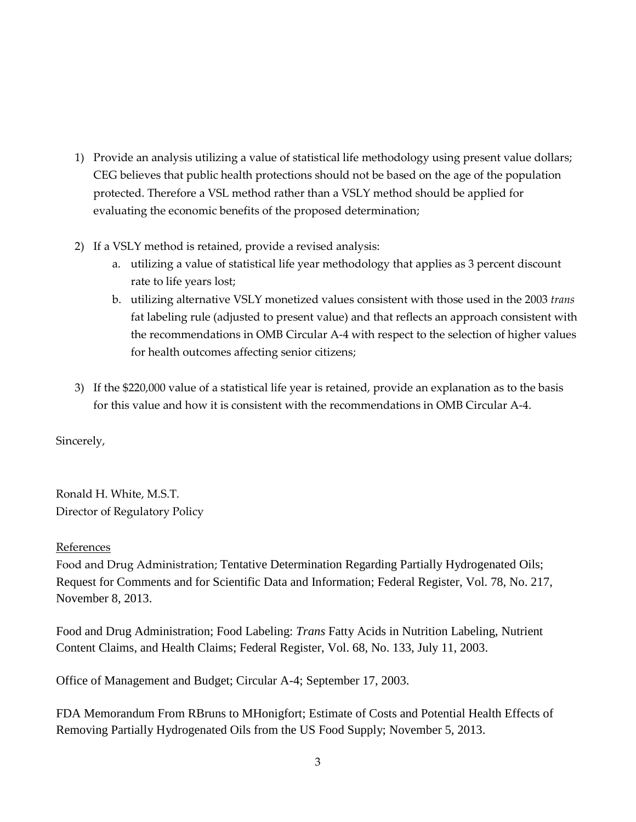- 1) Provide an analysis utilizing a value of statistical life methodology using present value dollars; CEG believes that public health protections should not be based on the age of the population protected. Therefore a VSL method rather than a VSLY method should be applied for evaluating the economic benefits of the proposed determination;
- 2) If a VSLY method is retained, provide a revised analysis:
	- a. utilizing a value of statistical life year methodology that applies as 3 percent discount rate to life years lost;
	- b. utilizing alternative VSLY monetized values consistent with those used in the 2003 *trans* fat labeling rule (adjusted to present value) and that reflects an approach consistent with the recommendations in OMB Circular A-4 with respect to the selection of higher values for health outcomes affecting senior citizens;
- 3) If the \$220,000 value of a statistical life year is retained, provide an explanation as to the basis for this value and how it is consistent with the recommendations in OMB Circular A-4.

Sincerely,

Ronald H. White, M.S.T. Director of Regulatory Policy

## References

Food and Drug Administration; Tentative Determination Regarding Partially Hydrogenated Oils; Request for Comments and for Scientific Data and Information; Federal Register, Vol. 78, No. 217, November 8, 2013.

Food and Drug Administration; Food Labeling: *Trans* Fatty Acids in Nutrition Labeling, Nutrient Content Claims, and Health Claims; Federal Register, Vol. 68, No. 133, July 11, 2003.

Office of Management and Budget; Circular A-4; September 17, 2003.

FDA Memorandum From RBruns to MHonigfort; Estimate of Costs and Potential Health Effects of Removing Partially Hydrogenated Oils from the US Food Supply; November 5, 2013.